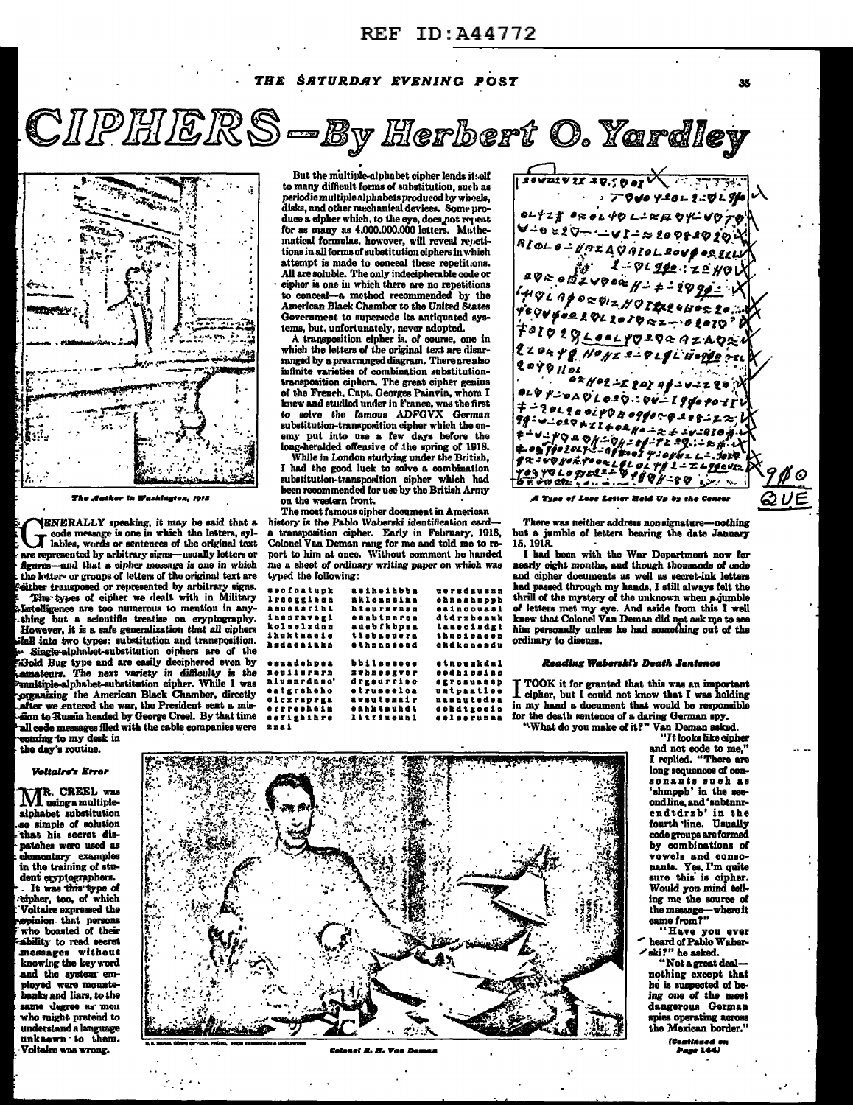



The Author in Washington, 1914

**YENERALLY** speaking, it may be said that a code measage is one in which the letters, syl-<br>lables, words or sentences of the original text are represented by arbitrary signs-usually letters or figures-and that a cipher message is one in which the letters or groups of letters of the original text are exities transposed or represented by arbitrary signs. The types of eipher we dealt with in Military Antelligence are too numerous to mention in anything but a scientific treatise on cryptography. However, it is a safe generalization that all ciphers fall into two types: substitution and transposition. Single-alphabet-substitution ciphers are of the Gold Bug type and are easily deciphered even by amateurs. The next variety in difficulty is the multiple-alphabet-substitution cipher. While I was organizing the American Black Chamber, directly after we entered the war, the President sent a misdion to Russia headed by George Creel. By that time all code messages filed with the cable companies were ing to my desk in

#### **Voltaire's Error**

the day's routine.

MR. CREEL was<br>Musing a multiplealphabet substitution so simple of solution that his secret dispatches were used as elementary examples<br>in the training of student cryptographers. It was this type of cipher, too, of which Voltaire expressed the coinion that nersons who boasted of their shility to read secret messages without<br>knowing the key word and the system employed were mountebanks and liars, to the same degree as men who might pretend to understand a language unknown to them. Voltaire was wrong.

But the multiple-alphabet cipher lends itself to many difficult forms of substitution, such as periodic multiple alphabets produced by wheels. disks. and other mechanical devices. Some produce a cipher which, to the eye, does not repeat for as many as 4,000,000,000 letters. Muthematical formulas, however, will reveal repetitions in all forms of substitution ciphers in which attempt is made to conceal these repetitions. All are soluble. The only indecipherable code or cipher is one in which there are no repetitions to conceal-a method recommended by the American Black Chamber to the United States Government to supersede its antiquated systems, but, unfortunately, never adopted.

A transposition cipher is, of course, one in which the letters of the original text are disarranged by a prearranged diagram. There are also infinite varieties of combination substitutiontransposition ciphers. The great cipher genius transposition upperlies. The grows opened known of the French, Contress Painvin, whom I know and studied under in France, was the first to solve the famous ADFQVX German substitution-transposition eigher which the enemy put into use a few days before the long-heralded offensive of the spring of 1918.

While in London studying under the British, I had the good luck to solve a combination substitution-transposition cipher which had been recommended for use by the British Army on the western front.

The most famous cipher document in American history is the Pablo Waberski identification cardtransposition cipher. Early in February, 1918, Colonel Van Deman rang for me and told me to report to him at once. Without comment he handed me a sheet of ordinary writing paper on which was typed the following:

| secfaatupk  | asiheihbbn         | uersdausnn        |
|-------------|--------------------|-------------------|
| lrseggiesn  | nkloznsinn         | ehneshappb        |
| asueasriht  | hteursvnam         | eaincouasi        |
| insnrnvegi  | eanbtunron         | didrzbesuk        |
| kolselzdan  | ausbfkbpsa         | tameciadgi        |
| ihuktnasie  | tiabasuera         | thnoicaeen        |
| hsdaeainkn  | ethnnnascd         | ckdkonesdu        |
| eszadehpea  | bbilsescoe         | etnouzkdml        |
| neuiiurarn  | <b>ZWh DOSKVOF</b> | eodhicsias        |
| niusardaso' | dresurriec         | <b>SEPSSUASSD</b> |
| eatgrsheho  | etruseelca         | umtpaatlee        |
| Gicxraprga  | avsutsmair         | nasnutedea        |
| errrecheim  | eahktauhdt         | cokdigceio        |
| eefighihre  | litfiueunl         | eelserunma        |
| ----        |                    |                   |

SOUDLEVER AD.50 OF WARTER  $0 + f z$   $\pi$   $0 \times g$   $\mu$   $\psi$   $\mu$   $\sim$   $\pi$   $\sigma$   $\left[\sqrt{2 + \frac{2}{\pi}} \right]$ V-0 = 20- - VI-> 20 08=0204 BLOL 0 - NAZAVAIOL ROVP OR EZLU  $20 \times 602 \times 906 \times 72992 \times 100$ ing Lapozoiz No Imperioze...<br>Yegypoe LOL Lotozz-o Lolo<sup>2</sup> fold 28 Lool 10202 AZAQ20  $2z$ on yg Nonze-vigi üoggo ozi K or<br>oz Hol -Z los dj - n+z lo d  $0.872881080.8010417996707$  $-201.900140009609908222$  $99 - 0.019 + 214.02$  for  $x \neq 10.010$  ff 9Ø0 Que .<br>A Type of Lave Letter Held Up by the Consor

There was neither address non signature-nothing but a jumble of letters bearing the date January 15.1918.

I had been with the War Department now for nearly eight months, and though thousands of code and cipher documents as well as secret-ink letters had passed through my hands. I still always felt the thrill of the mystery of the unknown when a jumble of letters met my eye. And aside from this I well<br>knew that Colonel Van Deman did not ask me to see him personally unless he had something out of the ordinary to discuss.

#### Reading Waberski's Death Sentence

TOOK it for granted that this was an important cipher, but I could not know that I was holding in my hand a document that would be responsible for the death sentence of a daring German spy. "What do you make of it?" Van Deman asked.

"It looks like cipher

and not code to me,"<br>I replied. "There are long sequences of consonants such as 'shmppb' in the secondline, and 'subtnnr-<br>endtdrzb' in the fourth line. Usually code groups are formed by combinations of vowels and consonants. Yes, I'm quite sure this is cipher. Would you mind tell-<br>ing me the source of the message-where it<br>came from?"

"Have you ever<br>heard of Pablo Waber-'ski?" he asked.

"Not a great dealnothing except that he is suspected of being one of the most dangerous German spies operating across the Mexican border."

> (Continued on Page 144)



35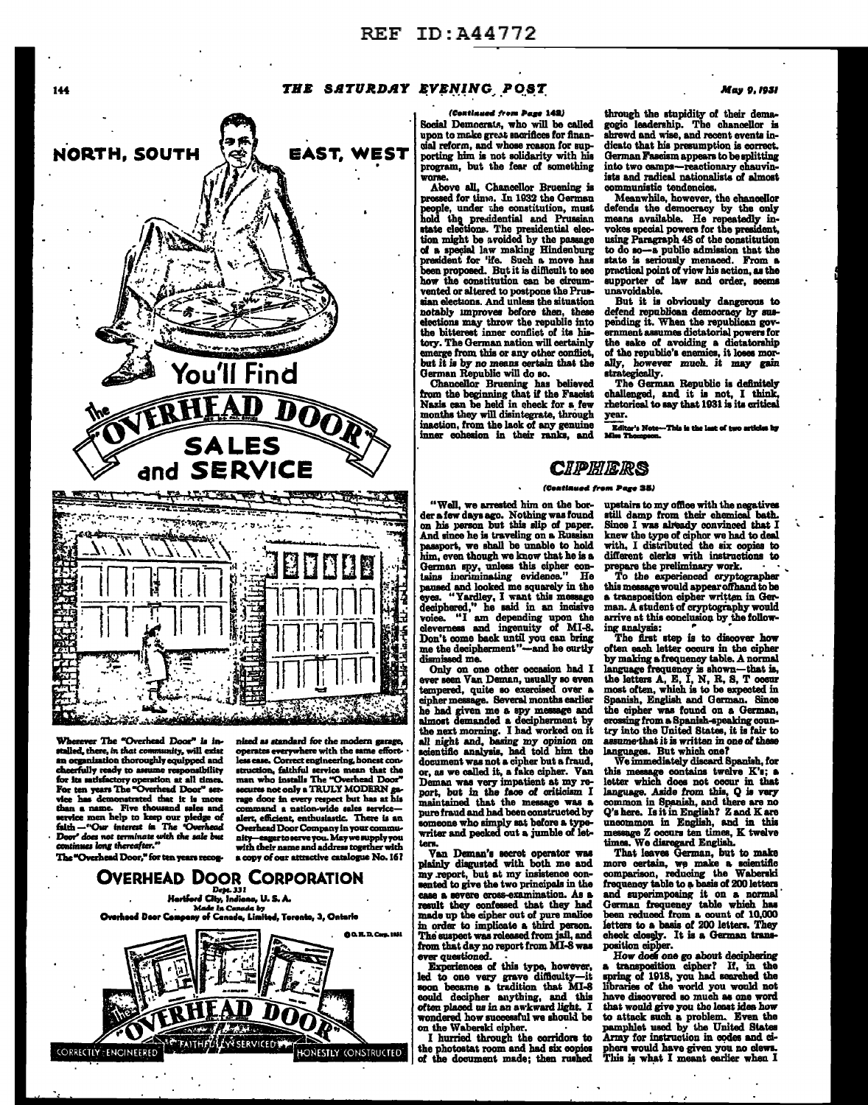

er The "Overhead Door" is installed, there, in that community, will exist stalled, there, in that community, will exist<br>an organization thoroughly equipped and<br>cheerfully ready to assume responsibility<br>for its satisfactory operation at all times.<br>For ten years The "Overhead Door" setvice has demonstrated that it is more<br>than a name. Five thousand sales and service men help to keep our pledge of<br>faith -"Our interest in The 'Overhead Door' does not terminate with the sale but<br>Over' does not terminate with the sale but<br>continues long thereafter."

144

The "Overhead Door," for ten years recog-

struction, faithful service mean that the<br>man who installs The "Overhead Door" man was mature and all the overmeast Door and the register and only a TRULY MODERN garage door in every respect but has at his command a nation-wide sales servicelert, efficient, enthusiastic. There is an Overhead Door Company in your commu-<br>nity-eager to serve you. May we supply you<br>with their name and address together with a copy of our attractive catalogue No. 16?

# **OVERHEAD DOOR CORPORATION** Dept. 331 Hertford City, Indiana, U. S. A. i. C.n Cenada by<br>Iada, Limited, Toronto, 3, Ontario -4 C -**GO.H.D.Corp.198** FAITHFULLY SERVICED CORRECTLY ENGINEERED HONESTLY CONSTRUCTED

(Continued from Page 142) Social Democrats, who will be called upon to make great sacrifices for financial reform, and whose reason for subporting him is not solidarity with his program, but the fear of something .<br>worse.

Above all, Chancellor Bruening is prossed for time. In 1932 the German people, under the constitution, must<br>hold the presidential and Prussian<br>state elections. The presidential elecstate chouous. In president and the product of a special law making Hindenburg<br>of a special law making Hindenburg<br>president for 'ife. Such a move has<br>been proposed. But it is difficult to see how the constitution can be circumvented or altered to postpone the Prussian elections. And unless the situation notably improves before then, these<br>elections may throw the republic into the bitterest inner conflict of its history. The German nation will certainly emerge from this or any other conflict, but it is by no means certain that the<br>German Republic will do so.

Chancellor Bruening has believed<br>from the beginning that if the Fascist<br>Nazis can be held in check for a few The months they will disintegrate, through inaction, from the lack of any genuine inner cohesion in their ranks, and through the stupidity of their demagogic leadership. The chancellor is shrewd and wise, and recent events indicate that his presumption is correct. German Fascism appears to be splitting into two camps-reactionary chauvinists and radical nationalists of almost communistic tendencies.

Meanwhile, however, the chancellor defends the democracy by the only means available. He repeatedly invokes special powers for the president, using Paragraph 48 of the constitution to do so—a public admission that the<br>state is seriously menaced. From a<br>practical point of view his action, as the supporter of law and order, seems unavoidable.

But it is obviously dangerous to defend republican democracy by sus-<br>pending it. When the republican government assumes dictatorial powers for the sake of avoiding a dictatorship of the republic's enemies, it loses morally, however much it may gain strategically.

The German Republic is definitely challenged, and it is not, I think rhetorical to say that 1931 is its critical year.

Editor's Note--This is the last of two articles by

## **CIPHERS**

#### (Continued from Pase 38)

"Well, we arrested him on the border a few days ago. Nothing was found<br>on his person but this slip of paper.<br>And since he is traveling on a Russian passport, we shall be unable to hold him, even though we know that he is a German spy, unless this cipher con-<br>tains incriminating evidence." He paused and looked me squarely in the pause and notice me squared will the essays deciphered," he said in an incisive voice. "I am depending upon the deverness and ingenuity of MI-8. Don't come back until you can bring dismissed me.

Only on one other occasion had I ever seen Van Deman, usually so even tempered, quite so exercised over a cipher message. Several months earlier esphere message. Several months earlier<br>he had given me a spy message and<br>almost demanded a decipherment by<br>the next morning. I had worked on it<br>all night and, basing my opinion on<br>scientific analysis, had told him the<br>doc or, as we can<br>use a property impairent at my re-<br>port, but in the face of criticism I maintained that the message was a nurs fraud and had been constructed by someone who simply sat before a typewriter and pecked out a jumble of let-

Tan Deman's secret operator was<br>plainly disgusted with both me and<br>my report, but at my insistence consented to give the two principals in the case a severe cross-examination. As a case a severe cross-examination. As a result they confessed that they had made up the cipher out of pure malice in order to implicate a third person. The suspect was released from jail, and from that day no report from MI-8 was ever questioned.

Experiences of this type, however, led to one very grave difficultysoon became a tradition that MI-8 could decipher anything, and this often placed us in an awkward light. I wondered how successful we should be

on the Waberski cipher.<br>I hurried through the corridors to the photostat room and had six copies of the document made; then rushed upstairs to my office with the negatives<br>still damp from their chemical bath.<br>Since I was already convinced that I<br>knew the type of ciphor we had to deal with. I distributed the six copies to

with, I distributed the aix copies to<br>different electron the prepare the preliminary work.<br>To the experienced cryptographer<br>this message would appear of hand to be<br>a transposition cipher written in German man. A student of cryptography would arrive at this conclusion by the following analysis:<br>The first step is to discover how

often each letter occurs in the cipher by making a frequency table. A normal language frequency is shown—that is, the letters A, E, I, N, R, S, T cocur most often, which is to be expected in Spanish, English and German. Since the cipher was found on a German,<br>crossing from a Spanish-speaking country into the United States, it is fair to ssume that it is written in one of these languages. But which one?

We immediately discard Spanish, for<br>this message contains twelve K's; a letter which does not occur in that isomer wind use from this, Q is very<br>language. Aside from this, Q is very<br>common in Spanish, and there are no<br>Q's here. Is it in English? Z and K are<br>uncommon in English, and in this message Z occurs ten times, K twelve

message z occurs can umes, A twelve<br>times. We disregard English.<br>That leaves German, but to make<br>more certain, we make a scientific<br>comparison, reducing the Waberski<br>frequency table to a basis of 200 letters Irougancy taute to a name of ZUU letters<br>and superimposing it on a normal<br>German frequency table which has<br>been reduced from a count of 10,000<br>letters to a basis of 200 letters. They check closely. It is a German trans-

cation either.<br>
Dow does one go about deciphering<br>
a transposition cipher? If, in the<br>
spring of 1918, you had searched the<br>
spring of 1918, you had searched the libraries of the world you would not<br>have discovered so much as one word that would give you the least idea how and a problem. Even the pamphlet used by the United States Army for instruction in codes and ciphers would have given you no clews.<br>This is what I meant earlier when I

#### **May 0.1031**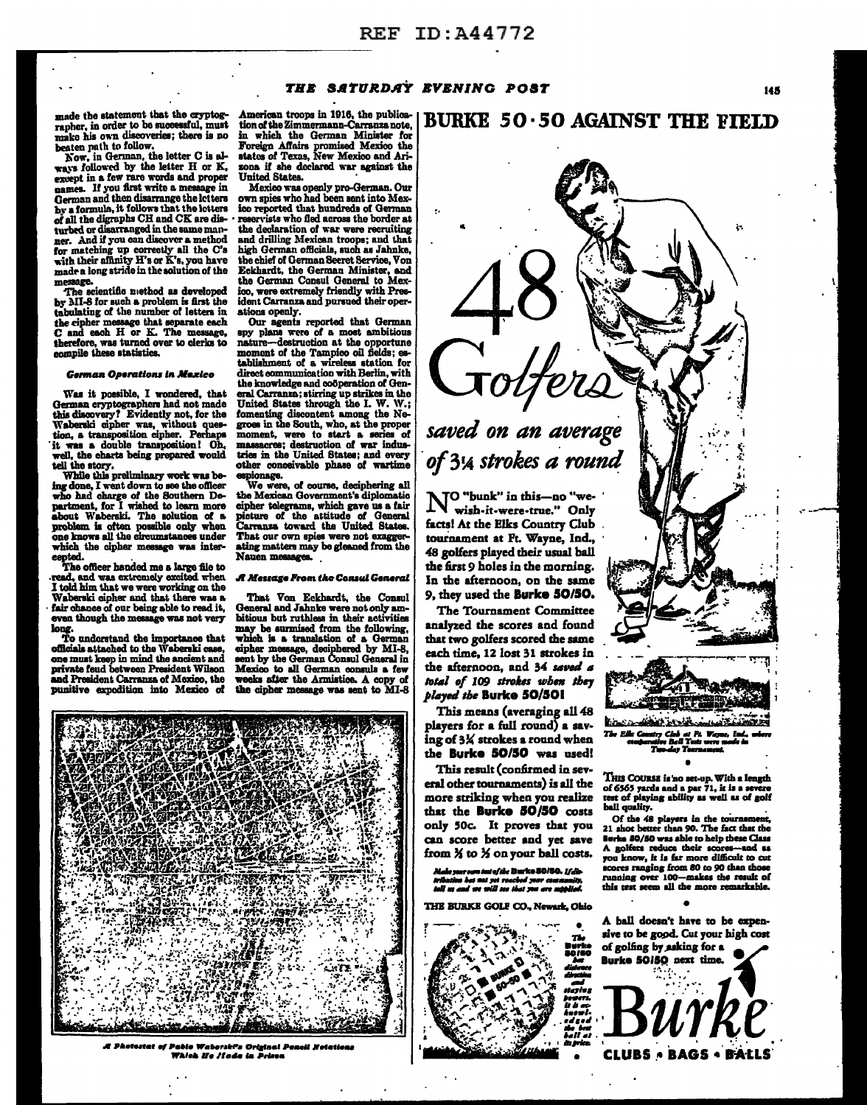made the statement that the cryptographer, in order to be successful, must make his own discoveries; there is no beaten path to follow.

Now, in German, the letter C is always followed by the letter H or K, except in a few rare words and proper names. If you first write a message in German and then disarrange the letters by a formula, it follows that the lotters<br>of all the digraphs CH and CK are disturbed or disarranged in the same manner. And if you can discover a method for matching up correctly all the C's with their affinity H's or K's, you have<br>made a long stride in the solution of the mestage.

The scientific method as developed by MI-8 for such a problem is first the tabulating of the number of letters in the cipher message that separate each C and each H or K. The message. therefore, was turned over to clerks to compile these statistics.

#### **German Operations in Maxico**

Was it possible, I wondered, that German cryptographers had not made this discovery? Evidently not, for the Waberski cipher was, without question, a transposition cipher. Perhaps it was a double transposition! Oh, well, the charts being prepared would tell the story.<br>While this preliminary work was be-

transformed to the officer<br>who had charge of the Southern Department, for I wished to learn more about Waberski. The solution of a problem is often possible only when<br>one knows all the circumstances under which the cipher message was intercepted.

The officer handed me a large file to read, and was extremely excited when I told him that we were working on the Waberski cipher and that there was a fair chance of our being able to read it, even though the message was not very long

To understand the importance that<br>officials attached to the Waberski case, one must keep in mind the ancient and<br>private feud between President Wilson and President Carranza of Mexico, the punitive expedition into Mexico of

American troops in 1916, the publication of the Zimmermann-Carranza note, in which the German Minister for Foreign Affairs promised Mexico the states of Texas, New Mexico and Arizona if she declared war against the **United States.** 

Mexico was openly pro-German. Our own spies who had been sent into Mexico reported that hundreds of German reservists who fled across the border at the declaration of war were recruiting and drilling Mexican troops; and that high German officials, such as Jahnke, the chief of German Secret Service, Von Eckhardt, the German Minister, and the German Consul General to Mexico, were extremely friendly with President Carranza and pursued their operations openly.

Our agents reported that German spy plans were of a most ambitious spy plans were of a most samulous<br>moment of the Tampico oil fields; establishment of a wireless station for<br>direct communication with Berlin, with the knowledge and coöperation of General Carranza; stirring up strikes in the United States through the I. W. W.; fomenting discontent among the Negroes in the South, who, at the proper moment, were to start a series of massacres; destruction of war industries in the United States; and every other conceivable phase of wartime spionage.

We were, of course, deciphering all the Mexican Government's diplomatic eipher telegrams, which gave us a fair icture of the attitude of General Carranza toward the United States. That our own spies were not exaggerating matters may be gleaned from the Nauen messages.

#### A Message From the Consul General

That Von Eckhardt, the Consul General and Jahnke were not only ambitious but ruthless in their activities may be surmised from the following,<br>which is a translation of a German cipher message, deciphered by MI-8, sent by the German Consul General in Mexico to all German consuls a few weeks after the Armistice. A copy of the cipher message was sent to MI-8





The Tournament Committee

analyzed the scores and found

each time. 12 lost 31 strokes in

the afternoon, and 34 saved a

total of 109 strokes when they

eral other tournaments) is all the

more striking when you realize

that the Burke 50/50 costs

only 50c. It proves that you

can score better and yet save

from X to X on your ball costs. .<br>Alaho yan own tast af the Burke BOIBO. If dis-<br>tall us and we will see that you are mpplied.<br>tall us and we will see that you are mpplied.

THE BURKE GOLF CO., Newark, Ohio

 $T_{\rm{m}}$ 

played the Burke 50/50! This means (averaging all 48 players for a full round) a saving of 3% strokes a round when the Burke 50/50 was used! This result (confirmed in sev-



THIS COURSE is 'no set-up. With a length of 6565 yards and a par 71, it is a severe test of playing ability as well as of golf ball quality.

Of the 48 players in the tournament, 21 shot better than 90. The fact that the Burke 80/50 was able to help these Class sortes so/so was able to help these class<br>A golfers reduce their scores-and as<br>you know, it is far more difficult to cut scores ranging from 80 to 90 than those nning over 100-makes the result of this test seem all the more remarkable.

A ball doesn't have to be expensive to be good. Cut your high cost of golfing by asking for a Burke 50150 next time.





A Photostat of Pable Waberski's Original Per Which He linds in Prizes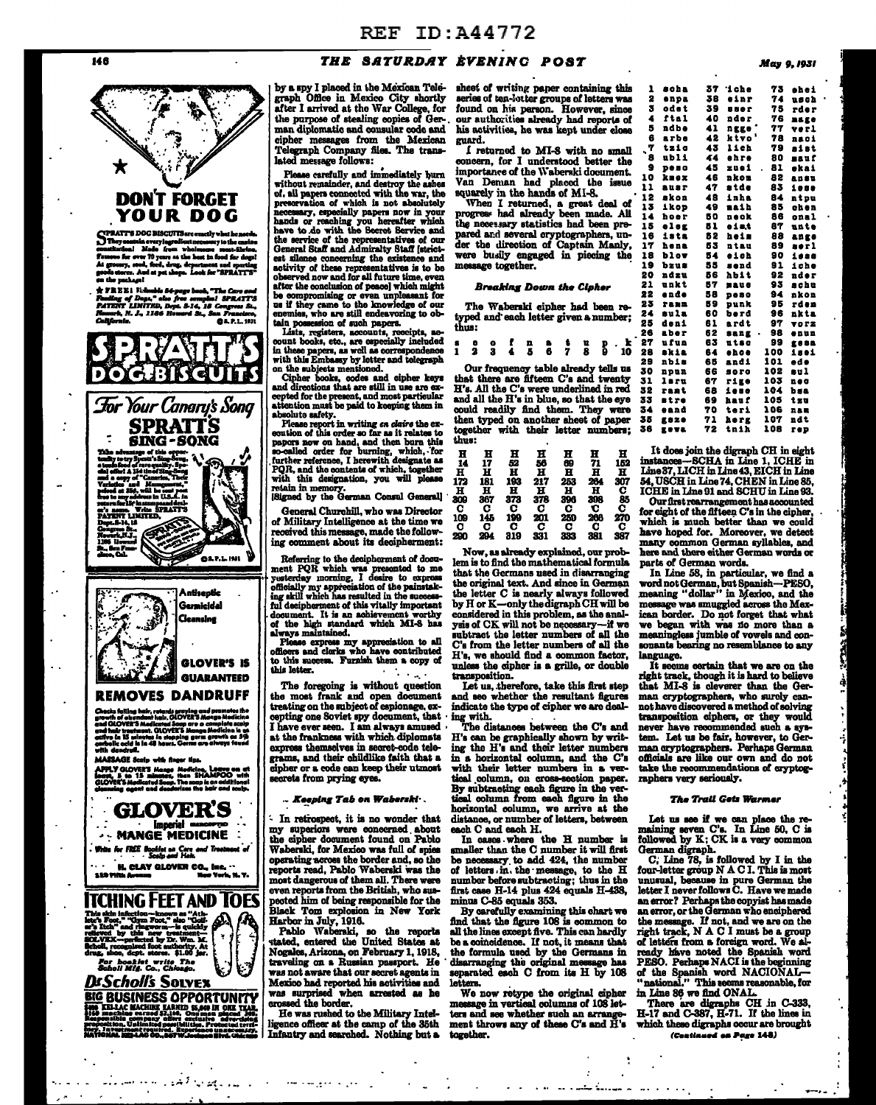# **REF ID: A44772**

### THE SATURDAY EVENING POST

by a spy I placed in the Mexican Telegraph Office in Mexico City shortly<br>after I arrived at the War College, for the purpose of stealing copies of German diplomatic and consular code and cipher messages from the Mexican Telegraph Company files. The translated message follows:

Please carefully and immediately burn without remainder, and destroy the ashes of, all papers connected with the war, the or, an papers connected with is not absolutely<br>preservation of which is not absolutely<br>necessary, especially papers now in your<br>hands or reaching you hereafter which<br>have to do with the Becret Service and the service of the representatives of our<br>General Staff and Admiralty Staff (strictcentral concerning the existence and<br>activity of these representatives is to be<br>observed now and for all future time, even after the conclusion of peacel which might be compromising or even unpleasant for us if they came to the knowledge of our enemies, who are still endeavoring to obtain possession of such papers.

comession or suon paperes.<br>is, registers, accounts, receipts, a Lists, registers, accounts, receipts, ac-<br>count books, etc., are especially included<br>in these papers, as well as correspondence<br>with this Embassy by letter and telegraph<br>on the subjects mentioned.<br>Cipher books, codes and e

attention must be paid to keeping them in absolute safety.

absounts aately.<br>Please report in writing en claire the ex-<br>ecution of this order so far as it relates to<br>paper now on hand, and then burn this<br>so-called order for burning, which, for<br>further reference, I herewith designat with this designation, you will please retain in memory.<br>
[Signed by the German Consul General]

General Churchill, who was Director of Military Intelligence at the time we received this message, made the following comment about its decipherment:

Referring to the decipherment of document PQR which was presented to me yesterday morming. I desire to commens officially my appreciation of the paints in outcomment of this vitaly important of the high mortal document. It always maintained.

Please express my appreciation to all officers and clocks who have contributed to this success. Furnish them a copy of this latter.

The foregoing is without question the most frank and open document treating on the subject of espionage, excepting one Soviet spy document, that I have ever seen. I am always amused at the frankness with which diplomats express themselves in secret-code telegrams, and their childlike faith that a cipher or a code can keep their utmost secrets from prying eyes.

#### .. Keeping Tab on Waberski..

In retrospect, it is no wonder that my superiors were concerned about the cipher document found on Pablo Waberaki, for Mexico was full of spies operating across the border and, so the reports read. Pablo Waberski was the most dangerous of them all. There were even reports from the British, who suspected him of being responsible for the Black Tom explosion in New York Harbor in July, 1916.

Pablo Waberski, so the reports<br>stated, entered the United States at Nogales, Arizona, on February 1, 1918, traveling on a Russian passport. He was not aware that our secret agents in Mexico had reported his activities and was surprised when arrested as he crossed the border.

He was rushed to the Military Intelligence officer at the camp of the 35th<br>Infantry and searched. Nothing but a

 $\alpha$  is a simple of  $\alpha$  .

sheet of writing paper containing this series of ten-lotter groups of letters was found on his person. However, since our authorities already had reports of his activities, he was kept under close cuard.

I returned to MI-8 with no small concern, for I understood better the importance of the Waberski document.<br>Van Deman had placed the issue<br>squarely in the hands of MI-8.

When I returned, a great deal of progress had already been made. All the necessary statistics had been prepared and several cryptographers, under the direction of Captain Manly, were busily engaged in piecing the message together.

#### **Breaking Down the Cipher**

23 The Waberaki cipher had been retyped and each letter given a number; óк  $<sub>time</sub>$ </sub>

|  |  |  |  | se of natup.k <sup>27</sup><br>1234567891028 |  |
|--|--|--|--|----------------------------------------------|--|
|  |  |  |  |                                              |  |

Our frequency table already tells us  $\mathbf{z}$ that there are fifteen C's and twenty<br>H's. All the C's were underlined in red and all the H's in blue, so that the eve 33 could readily find them. They were then typed on another sheet of paper 36 together with their letter numbers: thus:

| н           | Ħ   | н   | н   | Ħ   | н   | н   |
|-------------|-----|-----|-----|-----|-----|-----|
| 14          | 17  | 52  | 56  | 69  | 71  | 152 |
| н           | н   | H   | н   | н   | н   | н   |
| 172         | 181 | 193 | 217 | 253 | 264 | 307 |
| н           | н   | н   | н   | н   | H   | c   |
| 309         | 367 | 373 | 378 | 396 | 398 | 85  |
| C.          | c   | С   | С   | c   | c   | Õ   |
| 109         | 145 | 199 | 201 | 250 | 206 | 270 |
| $\mathbf C$ | C   | С   | С   | c   | c   | С   |
| 290         | 294 | 319 | 331 | 333 | 381 | 387 |

Now, as already explained, our problem is to find the mathematical formula that the Germans used in disarranging the original text. And since in German the letter C is nearly always followed<br>by H or K—only the digraph CH will be<br>considered in this problem, as the anal- $\frac{1}{100}$  of  $CK$  will not be necessary—if we subtract the letter numbers of all the C's from the letter numbers of all the H's, we should find a common factor, unless the cipher is a grille, or double transposition.

Let us, therefore, take this first step and see whether the resultant figure indicate the type of cipher we are deal-

ing with.<br>The distances between the C's and H's can be graphically shown by writing the H's and their letter numbers in a horizontal column, and the C's with their letter numbers in a vertical column, on cross-section paper. associated in the verdistance, or number of letters, between each C and each H.

In cases where the H number is<br>smaller than the C number it will first be necessary to add 424, the number<br>of letters in, the message, to the H<br>number before subtracting; thus in the first case H-14 plus 424 equals H-438, minus C-85 equals 353.

By carefully examining this chart we find that the figure 108 is common to all the lines except five. This can hardly the a coincidence. If not, it means that the formula used by the Germans in disarranging the original message has separated each C from its H by 108 letters.

We now retype the original cipher<br>essage in vertical columns of 108 letmes ters and see whether such an arrangement throws any of these C's and H's together.

| 2        | enpa         | 38       | einr                 | 74         | usch        |
|----------|--------------|----------|----------------------|------------|-------------|
| 3        | odet         | 39       | s n e r              | 75         | rde r       |
| 4        | ftal         | 40       | nder                 | 76         | 2820        |
| 5        | ndbe         | 41       | ngge                 | 77         | verl        |
| 6        | arbe         | 42       | ٠<br>ktvo            | 78         | naci        |
| 7<br>۰.  | tzic         | 43       | lich                 | 79         | aist        |
| 8        | ubli         | 44       | ehre                 | 80         | nau f       |
| 9        | peso         | 45       | zuei                 | 81         | ekai        |
| 10       | kaex         | 46       | nkon                 | 82         | 8888        |
| 11       | ausr         | 47       | a t de               | 83         | 1980        |
| 12       | akon         | 48       | inha                 | 84         | ntou        |
| 13       | ikop         | 49       | naih                 | 85         | chen        |
| 14       | hoer         | 50       | neck                 | 86         | onal        |
| 15       | eleg         | 51       | e i a.t              | 87         | unte        |
| 16       | ista         | 82       | heim                 | 88         | <b>ange</b> |
| 17       | hena         | 53       | ntau                 | 89         | 80 T L      |
| 18       | blow         | 54       | eich                 | 90         | 1088        |
| 19       | bzus         | 55       | send                 | 91         | iche        |
| 20       | ndzu         | 56       | hbit                 | 92         | ndor        |
| 21       | unkt         | 57       | maue                 | 93         | achu        |
| 22       | ende         | 58       | <b>De 80</b>         | 94         | nkon        |
| 23       | rann         | 59       | punk                 | 95         | rden        |
| 24       | sula         | 60       | berd                 | 96         | nkta        |
| 25       | deni         | 61       | ardt                 | 97         | <b>VOT2</b> |
| 26       | aber         | 62       | sang                 | 98         | enun        |
| 27       | ufun         | 63       | utsc                 | 99         | g 0 8 B     |
| 28       | skia         | 64       | ehoe                 | 100        | 1891        |
| 29<br>30 | nbis         | 65       | andi                 | 101<br>102 | ed e        |
| 31       | npun<br>lsru | 66<br>67 | <b>SO FO</b><br>rige | 103        | su 1        |
| 32       | raat         | 68       | 1050                 | 104        | nec<br>bsa  |
| 33       | stre         | 69       | hauf                 | 105        | tsu         |
| 34       | eand         | 70       | teri                 | 106        | nam         |
| 35       | gaze         | 71       | herg                 | 107        | ndt         |
| 36       | geva         | 72       | tnih                 | 108        | ran         |
|          |              |          |                      |            |             |

37 iche

scha

It does join the digraph CH in eight -SCHA in Line 1, ICHE in instances-Line 37, LICH in Line 43, EICH in Line 54, USCH in Line 74, CHEN in Line 85,<br>ICHE in Line 91 and SCHU in Line 93.

Our first rearrangement has accounted for eight of the fifteen C's in the cipher, which is much better than we could have hoped for. Moreover, we detect many common German syllables, and here and there either German words or parts of German words.

In Line 58, in particular, we find a word not German, but Spanish-PESO, meaning "dollar" in Mexico, and the message was smuggled across the Mexican border. Do not forget that what we began with was no more than a meaningless jumble of vowels and consonants bearing no resemblance to any language.

**CONTRACTOR** 

4

.<br>7

It seems certain that we are on the<br>right track, though it is hard to believe that MI-8 is cleverer than the German cryptographers, who surely cannot have discovered a method of solving transposition ciphers, or they would<br>never have recommended such a system. Let us be fair, however, to German cryptographers. Perhaps German officials are like our own and do not take the recommendations of cryptographers very seriously.

#### **The Trail Gets Warmer**

Let us see if we can place the remaining seven C's. In Line 50, C is<br>followed by K; CK is a very common

German digraph.<br>
C; Line 78, is followed by I in the four-letter group N A C I. This is most unusual, because in pure German the letter I never follows C. Have we made an error? Perhaps the copyist has made<br>an error, or the German who enciphered the message. If not, and we are on the the message. If not, and we are on the<br>right track, N A C I must be a group<br>of letters from a foreign word. We already have noted the Spanish word<br>PESO. Perhaps NACI is the beginning of the Spanish word NACIONAL-<br>"national." This seems reasonable, for in Line 86 we find ONAL.

There are digraphs CH in C-333, H-17 and C-387, H-71. If the lines in which these digraphs occur are brought (Continued on Page 148)



للمناولين والمحاور الماءة المساوك

DON'T FORGET

YOUR DOG

**PRATT'S DOG BISCUTTS are exactly what he n** 

**May 9, 1931** 

73 shel

 $S<sub>time</sub>$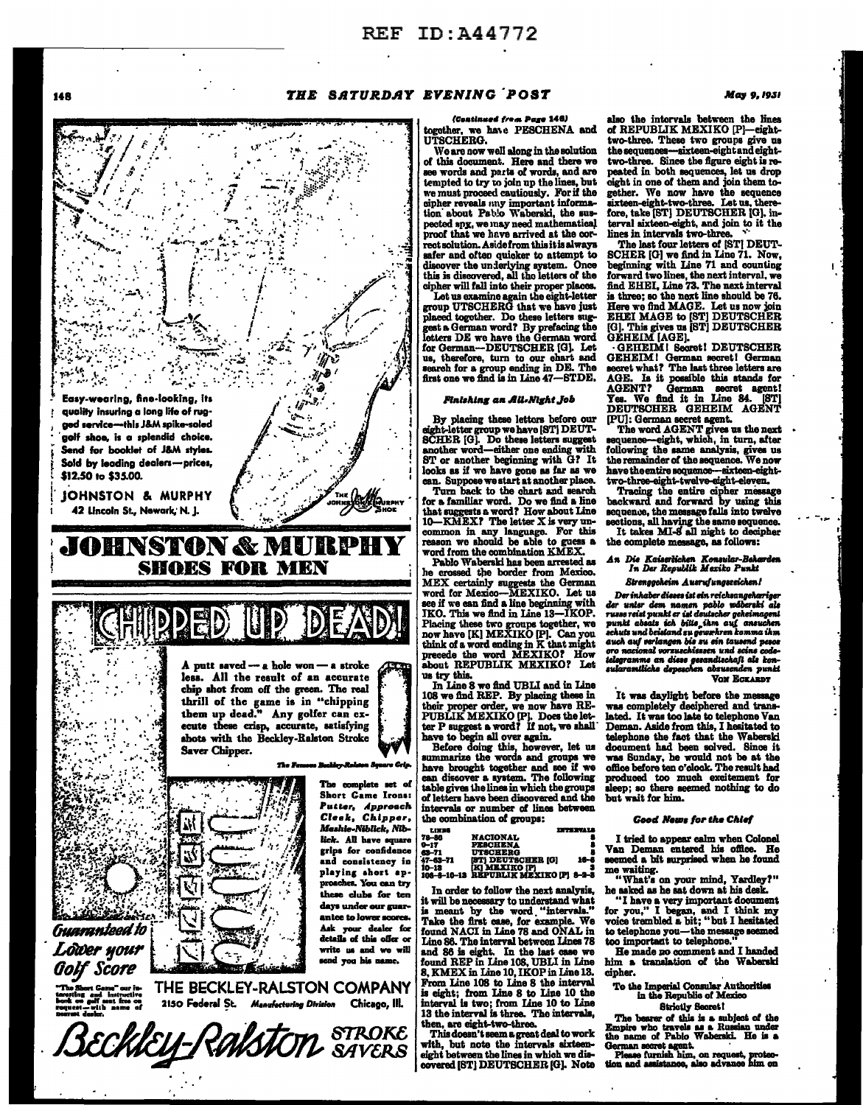(Continued from Page 146) together, we have PESCHENA and UTSCHERG.

We are now well along in the solution of this document. Here and there we see words and parts of words, and are<br>tempted to try to join up the lines, but<br>we must proceed cautiously. For if the eipher reveals my important informa-<br>tion about Pablo Waberski, the suspected spg, we may need mathematical proof that we have arrived at the correct solution. Aside from this it is always safer and often quicker to attempt to saier and underlying system. Once<br>discover the underlying system. Once<br>this is discovered, all the letters of the<br>cipher will fall into their proper places.<br>Let us examine again the eight-letter<br>group UTSCHERG that we have placed togother. Do these letters suggest a German word? By prefacing the<br>letters DE we have the German word for German-DEUTSCHER [G]. Let us, therefore, turn to our chart and search for a group ending in DE. The first one we find is in Line 47-STDE.

### Finishing an All-Night Job

By placing these letters before our ny placing these letters before our<br>eight-letter group we have [8T] DEUT-<br>SCHER [G]. Do these letters suggest another word-either one ending with<br>ST or another beginning with G? It looks as if we have gone as far as we can. Suppose we start at another place.<br>Turn back to the chart and search for a familiar word. Do we find a line For sammar word? How shout Line<br>10—KMEX? The letter X is very uncommon in any language. For this<br>reason we should be able to guess a<br>word from the combination KMEX.

Pablo Waberski has been arrested as he crossed the border from Mexico. MEX certainly suggests the German<br>word for Mexico-MEXIKO. Let us<br>see if we can find a line beginning with IKO. This we find in Line 13-IKOP. Placing these two groups together, we<br>now have [K] MEXIKO [P]. Can you think of a word ending in K that might<br>precede the word MEXIKO? How about REPUBLIK MEXIKO? Let us try this.

In Line 8 we find UBLI and in Line 108 we find REP. By placing these in their proper order, we now have REPUBLIK MEXIKO (P). Does the letter P suggest a word? If not, we shall

ter r suggest a worth in mot, we small<br>have to begin all over again.<br>Before doing this, however, let us<br>summarize the words and groups we<br>have brought together and see if we can discover a system. The following table gives the lines in which the groups of letters have been discovered and the intervals or number of lines between the combination of groups:

| LIN 35           | .                        |      |
|------------------|--------------------------|------|
| '8-80            | <b>NACIONAL</b>          |      |
| -17              | <b>PESCHENA</b>          | д    |
| 5-71             | <b>UTSCHERG</b>          | д    |
| 7-63-71          | [ST] DEUTSCHER [G]       | 16-8 |
| 0-18             | [K] MEXIKO [P]           |      |
| na - a - 10 - 12 | REPUBLIK MEXIKOIPI A-2-8 |      |

In order to follow the next analysis, it will be necessary to understand what<br>is meant by the word "intervals." Is means by the word, microwally<br>Take the first case, for example. We<br>found NACI in Line 78 and ONAL in<br>Line 86. The interval between Lines 78<br>and 86 is eight. In the last case we found REP in Line 108, UBLI in Line 8, KMEX in Line 10, IKOP in Line 13. o, awaza un'amo 103 to Line 8 the interval<br>is eight; from Line 8 to Line 10 the<br>interval is two; from Line 10 to Line<br>13 the interval is three. The intervals, then, are eight-two-three.

This doesn't seem a great deal to work<br>with, but note the intervals sixteen-<br>eight between the lines in which we discovered [ST] DEUTSCHER [G]. Note

also the intervals between the lines of REPUBLIK MEXIKO [P]-eighttwo-three. These two groups give us the sequences-sixteen-eight and eighttwo-three. Since the figure eight is repeated in both sequences, let us drop<br>peated in both sequences, let us drop<br>oight in one of them and join them to-<br>gether. We now have the sequence<br>sixteen-eight-two-three. Let us, th fore, take [ST] DEUTSCHER [G], interval sixteen-eight, and join to it the lines in intervals two-three.

The last four letters of [ST] DEUT-SCHER [G] we find in Line 71. Now, beginning with Line 71 and counting forward two lines, the next interval, we<br>find EHEI. Line 73. The next interval is three: so the next line should be 76. B three years and MAGE. Let us now join<br>Here we find MAGE. Let us now join<br>EHEI MAGE to [ST] DEUTSCHER<br>[G]. This gives us [ST] DEUTSCHER<br>GEHEIM [AGE].

GEHEIM! German secret! German secret where I no mass turned the stands for AGENT? German secret agent!<br>Yes. We find it in Line 34. [ST]<br>DEUTSCHER GEHEIM AGENT

PUI: German secret agent.<br>The word AGENT gives us the next sequence-eight, which, in turn, after following the same analysis, gives us the remainder of the sequence. We now have the entire sequence--sixteen-eight-two-three-eight-twelve-eight-eleven.<br>Tracing the entire cipher message backward and forward by using this

sequence, the message falls into twelve sections, all having the same sequence.<br>It takes MI-S all night to decipher the complete message, as follows:

An Die Kaiserlichen Konsular-Beharden<br>In Der Republik Mexiko Punkt

Strenggeheim Ausrufungszeichen!

Der inhaber dieses ist ein reichsangehæriger der unter dem namen pablo wäherzki als<br>russ reist punkt er ist deutscher geheimagent<br>punkt absais ich bille ihm auf ansuchen schulz und beisland zu gewæhren komma ikm auch auf verlangen bis zu ein tausend pesos<br>oro nacional vorzuschiesen und scine codeoro nucionii vorzadonszen zna eche cous-<br>ielegramme an diese gesandischafi als kon-<br>sularamiliche depeschen absusenden punkt **VON ECKARDT** 

It was daylight before the message was completely deciphered and translated. It was too late to telephone Van Deman. Aside from this, I hesitated to telephone the fact that the Waberski document had been solved. Since it was Sunday, he would not be at the office before ten o'clock. The result had produced too much excitement for aleep; so there seemed nothing to do<br>but wait for him.

### **Good News for the Chief**

I tried to appear calm when Colonel Van Deman entered his office. He seemed a bit surprised when he found me waiting.

"What's on your mind, Yardley?" he asked as he sat down at his desk.

'I have a very important document for you," I began, and I think my<br>voice trembled a bit; "but I healtated to telephone you-the message seemed<br>too important to telephone."

He made no comment and I handed him a translation of the Waberski cipher.

To the Imperial Consular Authorities in the Republic of Mexico **Strictly Secret!** 

The bearer of this is a subject of the Empire who travels as a Russian under the name of Pablo Waberski. He is a

German secret agent.<br>Please furnish him, on request, protection and assistance, also advance him on



**BECKIEY-Raiston** STROKE

148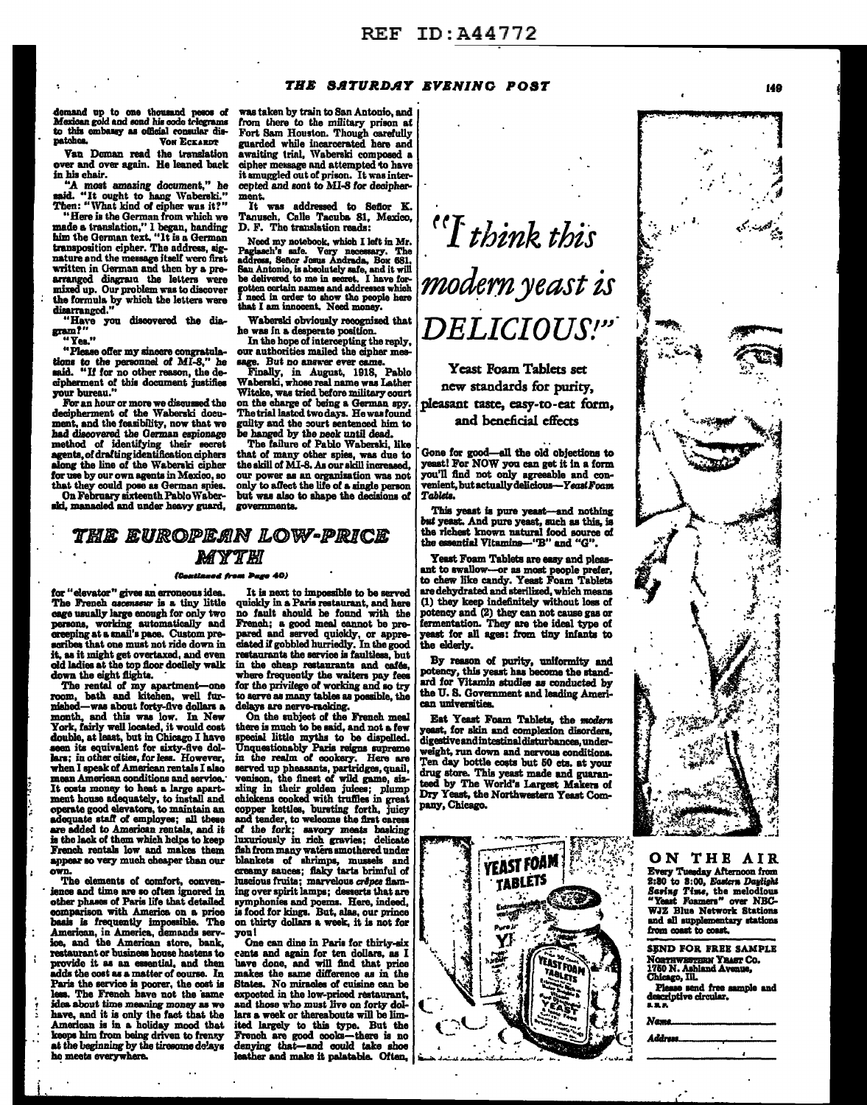demand up to one thousand pesos of Mexican gold and send his code telegrams to this embassy as official consular dis-**Von Eexanne** 

Van Doman read the translation over and over again. He leaned back in his chair.

"A most amazing document," he said. "It ought to hang Waberski."<br>Then: "What kind of cipher was it?"

"Here is the German from which we made a translation," I began, handing him the German text. "It is a German" transposition cipher. The address, signature and the message itself were first written in German and then by a prewritten in German and their were<br>mixed up. Our problem was to discover<br>the formula by which the letters were<br>disarranged."

"Have you discovered the diagram?"

..........<br>Tes

"Please offer my sincere congratulations to the personnel of MI-8," he said. "If for no other reason, the de-<br>eipherment of this document justifies vour bureau.'

For an hour or more we discussed the<br>decipherment of the Waberski docuit, and the feasibility, now that we had discovered the German espionage method of identifying their secret<br>agents, of drafting identification ciphers along the line of the Waberski cipher for use by our own agents in Mexico, so

that they could pose as German spies.<br>On February sixteenth Pablo Waber-ski, manacled and under heavy guard,

was taken by train to San Antonio, and from there to the military prison at Fort Sam Houston. Though carefully guarded while incarcerated here and awaiting trial. Waberski composed a comming that, which is the possible to have<br>it smuggled out of prison. It was intercepted and sont to MI-8 for deciphermant.

It was addressed to Señor K. Tanusch, Calle Tacuba Si, Mexico, D. F. The translation reads:

Need my notebook, which I left in Mr.<br>Pagiasch's safe. Very necessary. The<br>address, Señor Jesus Andrada, Box 681. Sau Antonio, is absolutely safe, and it will be delivered to me in secret. I have for-<br>be delivered to me in secret. I have for-<br>gotten cortain names and addresses which<br>I need in anima to the date I need in order to show the people here<br>that I am innocent. Need money.

Waberski obviously recognized that

he was in a desperate position.<br>In the hope of intercepting the reply,<br>our authorities mailed the cipher mesage. But no answer ever came.

Finally, in August, 1918, Pablo<br>Waberski, whose real name was Lather Witche, was tried before military court<br>on the charge of being a German spy.<br>The trial lasted two days. He was found restrict instance would sentenced him to<br>be hanged by the neck until dead.<br>The failure of Pablo Waberski, like<br>that of many other spies, was due to

the skill of MI-8, As our skill increased. our power as an organization was not only to affect the life of a single person but was also to shape the decisions of covernments.

# THE EUROPEAN LOW-PRICE *MYTH* m Pasa 40)

for "elevator" gives an erroneous idea. The French ascenseur is a tiny little cage usually large enough for only two persons, working automatically and creeping at a snail's pace. Custom prescribes that one must not ride down in it, as it might get overtaxed, and even old ladies at the top floor docilely walk

The rental of my apartment-one<br>room, bath and kitchen, well furnished—was about forty-five dollars a month, and this was low. In New York, fairly well located, it would cost double, at least, but in Chicago I have seen its equivalent for sixty-five dollars; in other cities, for less. However, when I speak of American rentals I also mean American conditions and service. It costs money to heat a large apartment house adequately, to install and operate good elevators, to maintain an operate good elevators, to maintain an<br>adequate staff of employes; all these<br>are added to American rentals, and it is the lack of them which helps to keep French rentals low and makes them appear so very much cheaper than our own.

The elements of comfort, convenience and time are so often ignored in other phases of Paris life that detailed comparison with America on a price basis is frequently impossible. The American, in America, demands service, and the American store, bank. restaurant or business house hastens to provide it as an essential, and then adds the cost as a matter of course. In Paris the service is poorer, the cost is less. The French have not the same idea about time meaning money as we have, and it is only the fact that the American is in a holiday mood that keeps him from being driven to frenzy at the beginning by the tiresome delays ho meets everywhere.

It is next to impossible to be served quickly in a Paris restaurant, and here no fault should be found with the<br>French; a good meal cannot be prepared and served quickly, or appre-<br>ciated if gobbled hurriedly. In the good restaurants the service is faultless, but in the cheap restaurants and cafés, where frequently the waiters pay fees for the privilege of working and so try to serve as many tables as possible, the delays are nerve-racking.

On the subject of the French meal there is much to be said, and not a few special little myths to be dispelled. Unquestionably Paris reigns supreme Unquestionsby Paris reigns supreme in the realm of cookery. Here are are to saved up pheasants, partridges, quail, venison, the finest of wild game, siz-<br>xling in their golden juices; plump choices are selected with traine of the fork; savory meats basking luxuriously in rich gravies; delicate fish from many waters smothered under blankets of shrimps, mussels and creamy sauces; flaky tarts brimful of luscious fruits; marvelous crépes flaming over spirit lamps; desserts that are symphonies and poems. Here, indeed, is food for kings. But, alas, our prince on thirty dollars a week, it is not for you l

One can dine in Paris for thirty-six cants and again for ten dollars, as I have done, and will find that price makes the same difference as in the States. No miracles of cuisine can be exposted in the low-priced restaurant, and those who must live on forty dollars a week or thereabouts will be limited largely to this type. But the<br>French are good cooks-there is no<br>denying that-and could take shoe leather and make it palatable. Often,



Gone for good-all the old objections to yeast! For NOW you can get it in a form you'll find not only agreeable and convenient, but actually delicious—Yeast Foam Tablets.

This yeast is pure yeast-and nothing but years. And pure years, such as this, is<br>the richest known natural food source of the essential Vitamins—"B" and "G".

Yeast Foam Tablets are easy and pleasant to swallow-or as most people prefer,<br>to chew like candy. Yeast Foam Tablets are dehydrated and sterilized, which means (1) they keep indefinitely without loss of potency and (2) they can not cause gas or fermentation. They are the ideal type of yeast for all ages: from tiny infants to the elderly.

By reason of purity, uniformity and potency, this years has become the stand-<br>ard for Vitamin studies as conducted by the U.S. Government and leading American universities.

Eat Yeast Foam Tablets, the modern east, for skin and complexion disorders. digestive and intestinal disturbances, underveight, run down and nervous conditions. Ten day bottle costs but 50 cts. at your drug store. This yeast made and guaranteed by The World's Largest Makers of Dry Yeast, the Northwestern Yeast Company, Chicago.





ON THE AIR Every Tuesday Afternoon from<br>2:30 to 3:00, Eastern Daylight Saring Time, the melodious "Yeast Foamers" over NBC-<br>WJZ Blue Network Stations and all supplementary stations

**SEND FOR FREE SAMPLE** 

.<br>Nas

140